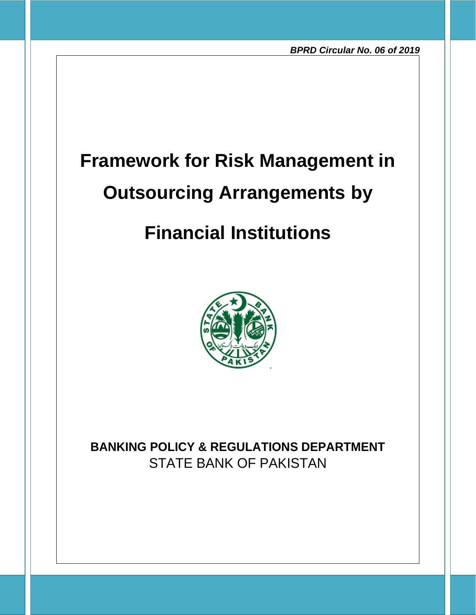# **Framework for Risk Management in**

## **Outsourcing Arrangements by**

### **Financial Institutions**



**BANKING POLICY & REGULATIONS DEPARTMENT** STATE BANK OF PAKISTAN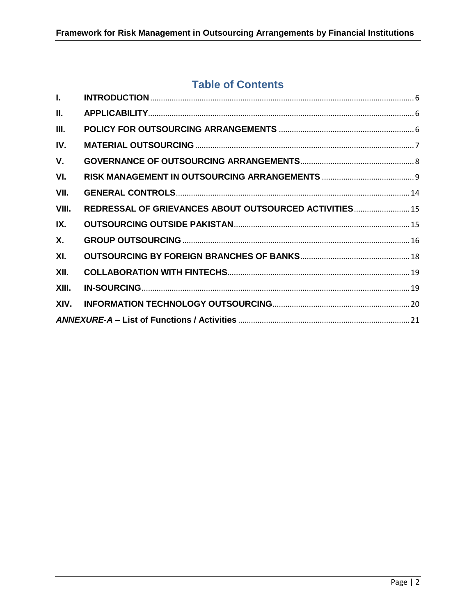### **Table of Contents**

| L.        |                                                        |  |  |
|-----------|--------------------------------------------------------|--|--|
| II.       |                                                        |  |  |
| III.      |                                                        |  |  |
| IV.       |                                                        |  |  |
| V.        |                                                        |  |  |
| VI.       |                                                        |  |  |
| VII.      |                                                        |  |  |
| VIII.     | REDRESSAL OF GRIEVANCES ABOUT OUTSOURCED ACTIVITIES 15 |  |  |
| IX.       |                                                        |  |  |
| <b>X.</b> |                                                        |  |  |
| XI.       |                                                        |  |  |
| XII.      |                                                        |  |  |
| XIII.     |                                                        |  |  |
| XIV.      |                                                        |  |  |
|           |                                                        |  |  |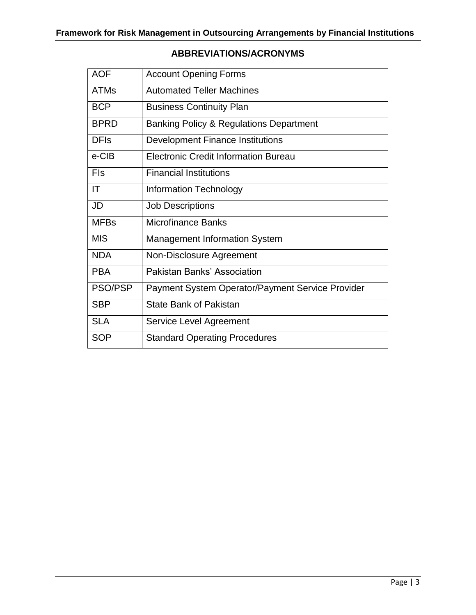#### **ABBREVIATIONS/ACRONYMS**

| <b>AOF</b>     | <b>Account Opening Forms</b>                       |
|----------------|----------------------------------------------------|
| <b>ATMs</b>    | <b>Automated Teller Machines</b>                   |
| <b>BCP</b>     | <b>Business Continuity Plan</b>                    |
| <b>BPRD</b>    | <b>Banking Policy &amp; Regulations Department</b> |
| <b>DFIs</b>    | <b>Development Finance Institutions</b>            |
| e-CIB          | <b>Electronic Credit Information Bureau</b>        |
| Fls            | <b>Financial Institutions</b>                      |
| IT             | <b>Information Technology</b>                      |
| JD             | <b>Job Descriptions</b>                            |
| <b>MFBs</b>    | <b>Microfinance Banks</b>                          |
| <b>MIS</b>     | <b>Management Information System</b>               |
| <b>NDA</b>     | Non-Disclosure Agreement                           |
| <b>PBA</b>     | Pakistan Banks' Association                        |
| <b>PSO/PSP</b> | Payment System Operator/Payment Service Provider   |
| <b>SBP</b>     | <b>State Bank of Pakistan</b>                      |
| <b>SLA</b>     | Service Level Agreement                            |
| <b>SOP</b>     | <b>Standard Operating Procedures</b>               |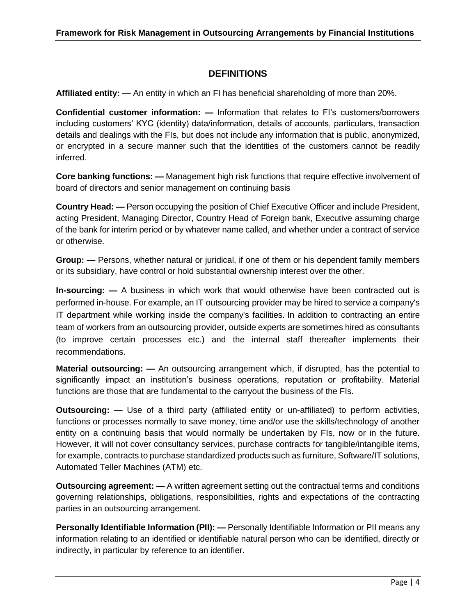#### **DEFINITIONS**

**Affiliated entity: —** An entity in which an FI has beneficial shareholding of more than 20%.

**Confidential customer information: —** Information that relates to FI's customers/borrowers including customers' KYC (identity) data/information, details of accounts, particulars, transaction details and dealings with the FIs, but does not include any information that is public, anonymized, or encrypted in a secure manner such that the identities of the customers cannot be readily inferred.

**Core banking functions: —** Management high risk functions that require effective involvement of board of directors and senior management on continuing basis

**Country Head: —** Person occupying the position of Chief Executive Officer and include President, acting President, Managing Director, Country Head of Foreign bank, Executive assuming charge of the bank for interim period or by whatever name called, and whether under a contract of service or otherwise.

**Group: —** Persons, whether natural or juridical, if one of them or his dependent family members or its subsidiary, have control or hold substantial ownership interest over the other.

**In-sourcing: —** A business in which work that would otherwise have been contracted out is performed in-house. For example, an IT [outsourcing](https://en.wikipedia.org/wiki/Outsourcing) provider may be hired to service a company's IT department while working inside the company's facilities. In addition to contracting an entire team of workers from an outsourcing provider, outside experts are sometimes hired as consultants (to improve certain processes etc.) and the internal staff thereafter implements their recommendations.

**Material outsourcing:** — An outsourcing arrangement which, if disrupted, has the potential to significantly impact an institution's business operations, reputation or profitability. Material functions are those that are fundamental to the carryout the business of the FIs.

**Outsourcing:**  $-$  Use of a third party (affiliated entity or un-affiliated) to perform activities, functions or processes normally to save money, time and/or use the skills/technology of another entity on a continuing basis that would normally be undertaken by FIs, now or in the future. However, it will not cover consultancy services, purchase contracts for tangible/intangible items, for example, contracts to purchase standardized products such as furniture, Software/IT solutions, Automated Teller Machines (ATM) etc.

**Outsourcing agreement:** — A written agreement setting out the contractual terms and conditions governing relationships, obligations, responsibilities, rights and expectations of the contracting parties in an outsourcing arrangement.

**Personally Identifiable Information (PII):** — Personally Identifiable Information or PII means any information relating to an identified or identifiable natural person who can be identified, directly or indirectly, in particular by reference to an identifier.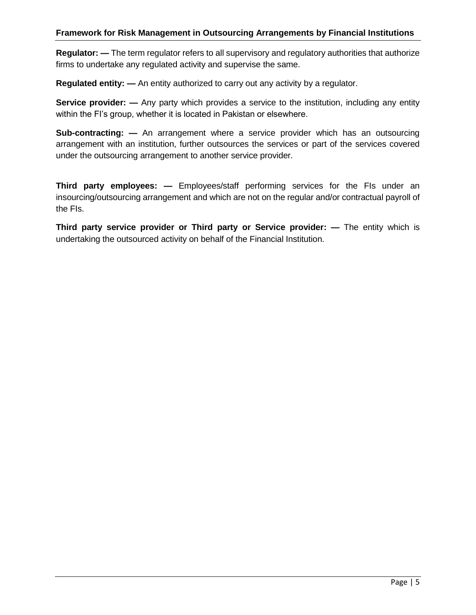#### **Framework for Risk Management in Outsourcing Arrangements by Financial Institutions**

**Regulator: —** The term regulator refers to all supervisory and regulatory authorities that authorize firms to undertake any regulated activity and supervise the same.

**Regulated entity: —** An entity authorized to carry out any activity by a regulator.

**Service provider:** — Any party which provides a service to the institution, including any entity within the FI's group, whether it is located in Pakistan or elsewhere.

**Sub-contracting:** — An arrangement where a service provider which has an outsourcing arrangement with an institution, further outsources the services or part of the services covered under the outsourcing arrangement to another service provider.

**Third party employees:** — Employees/staff performing services for the FIs under an insourcing/outsourcing arrangement and which are not on the regular and/or contractual payroll of the FIs.

**Third party service provider or Third party or Service provider: —** The entity which is undertaking the outsourced activity on behalf of the Financial Institution.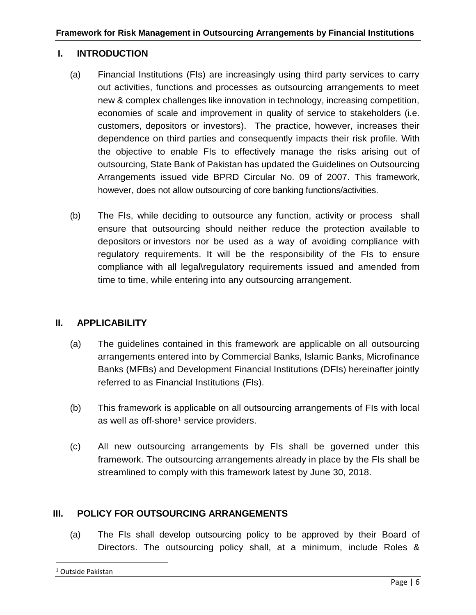#### <span id="page-5-0"></span>**I. INTRODUCTION**

- (a) Financial Institutions (FIs) are increasingly using third party services to carry out activities, functions and processes as outsourcing arrangements to meet new & complex challenges like innovation in technology, increasing competition, economies of scale and improvement in quality of service to stakeholders (i.e. customers, depositors or investors). The practice, however, increases their dependence on third parties and consequently impacts their risk profile. With the objective to enable FIs to effectively manage the risks arising out of outsourcing, State Bank of Pakistan has updated the Guidelines on Outsourcing Arrangements issued vide BPRD Circular No. 09 of 2007. This framework, however, does not allow outsourcing of core banking functions/activities.
- (b) The FIs, while deciding to outsource any function, activity or process shall ensure that outsourcing should neither reduce the protection available to depositors or investors nor be used as a way of avoiding compliance with regulatory requirements. It will be the responsibility of the FIs to ensure compliance with all legal\regulatory requirements issued and amended from time to time, while entering into any outsourcing arrangement.

#### <span id="page-5-1"></span>**II. APPLICABILITY**

- (a) The guidelines contained in this framework are applicable on all outsourcing arrangements entered into by Commercial Banks, Islamic Banks, Microfinance Banks (MFBs) and Development Financial Institutions (DFIs) hereinafter jointly referred to as Financial Institutions (FIs).
- (b) This framework is applicable on all outsourcing arrangements of FIs with local as well as off-shore<sup>1</sup> service providers.
- (c) All new outsourcing arrangements by FIs shall be governed under this framework. The outsourcing arrangements already in place by the FIs shall be streamlined to comply with this framework latest by June 30, 2018.

#### <span id="page-5-2"></span>**III. POLICY FOR OUTSOURCING ARRANGEMENTS**

(a) The FIs shall develop outsourcing policy to be approved by their Board of Directors. The outsourcing policy shall, at a minimum, include Roles &

 $\overline{a}$ 

<sup>1</sup> Outside Pakistan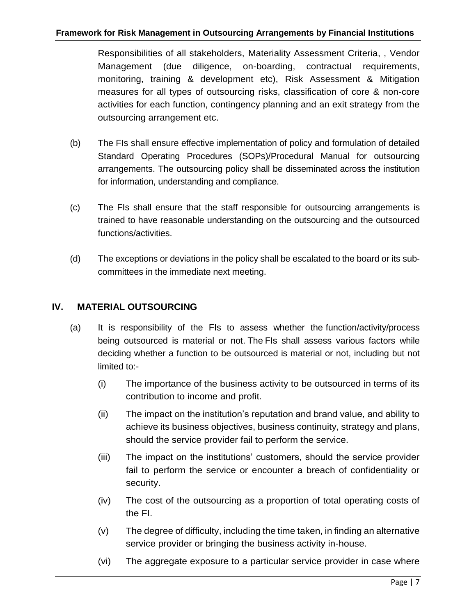#### **Framework for Risk Management in Outsourcing Arrangements by Financial Institutions**

Responsibilities of all stakeholders, Materiality Assessment Criteria, , Vendor Management (due diligence, on-boarding, contractual requirements, monitoring, training & development etc), Risk Assessment & Mitigation measures for all types of outsourcing risks, classification of core & non-core activities for each function, contingency planning and an exit strategy from the outsourcing arrangement etc.

- (b) The FIs shall ensure effective implementation of policy and formulation of detailed Standard Operating Procedures (SOPs)/Procedural Manual for outsourcing arrangements. The outsourcing policy shall be disseminated across the institution for information, understanding and compliance.
- (c) The FIs shall ensure that the staff responsible for outsourcing arrangements is trained to have reasonable understanding on the outsourcing and the outsourced functions/activities.
- (d) The exceptions or deviations in the policy shall be escalated to the board or its subcommittees in the immediate next meeting.

#### <span id="page-6-0"></span>**IV. MATERIAL OUTSOURCING**

- (a) It is responsibility of the FIs to assess whether the function/activity/process being outsourced is material or not. The FIs shall assess various factors while deciding whether a function to be outsourced is material or not, including but not limited to:-
	- (i) The importance of the business activity to be outsourced in terms of its contribution to income and profit.
	- (ii) The impact on the institution's reputation and brand value, and ability to achieve its business objectives, business continuity, strategy and plans, should the service provider fail to perform the service.
	- (iii) The impact on the institutions' customers, should the service provider fail to perform the service or encounter a breach of confidentiality or security.
	- (iv) The cost of the outsourcing as a proportion of total operating costs of the FI.
	- (v) The degree of difficulty, including the time taken, in finding an alternative service provider or bringing the business activity in-house.
	- (vi) The aggregate exposure to a particular service provider in case where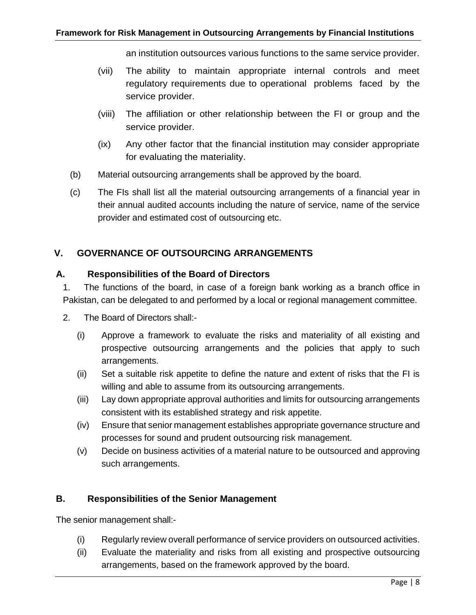an institution outsources various functions to the same service provider.

- (vii) The ability to maintain appropriate internal controls and meet regulatory requirements due to operational problems faced by the service provider.
- (viii) The affiliation or other relationship between the FI or group and the service provider.
- (ix) Any other factor that the financial institution may consider appropriate for evaluating the materiality.
- (b) Material outsourcing arrangements shall be approved by the board.
- (c) The FIs shall list all the material outsourcing arrangements of a financial year in their annual audited accounts including the nature of service, name of the service provider and estimated cost of outsourcing etc.

#### <span id="page-7-0"></span>**V. GOVERNANCE OF OUTSOURCING ARRANGEMENTS**

#### **A. Responsibilities of the Board of Directors**

1. The functions of the board, in case of a foreign bank working as a branch office in Pakistan, can be delegated to and performed by a local or regional management committee.

- 2. The Board of Directors shall:-
	- (i) Approve a framework to evaluate the risks and materiality of all existing and prospective outsourcing arrangements and the policies that apply to such arrangements.
	- (ii) Set a suitable risk appetite to define the nature and extent of risks that the FI is willing and able to assume from its outsourcing arrangements.
	- (iii) Lay down appropriate approval authorities and limits for outsourcing arrangements consistent with its established strategy and risk appetite.
	- (iv) Ensure that senior management establishes appropriate governance structure and processes for sound and prudent outsourcing risk management.
	- (v) Decide on business activities of a material nature to be outsourced and approving such arrangements.

#### **B. Responsibilities of the Senior Management**

The senior management shall:-

- (i) Regularly review overall performance of service providers on outsourced activities.
- (ii) Evaluate the materiality and risks from all existing and prospective outsourcing arrangements, based on the framework approved by the board.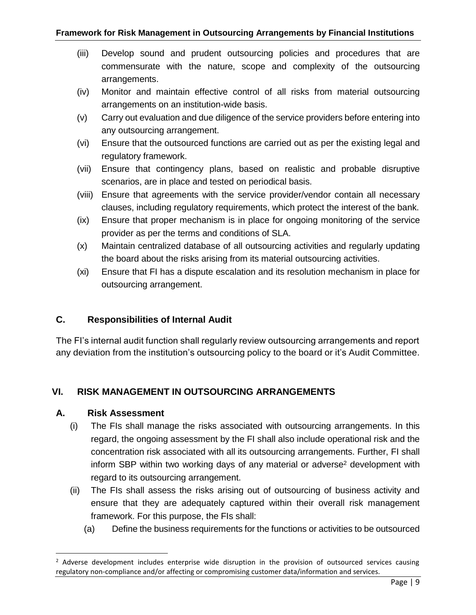- (iii) Develop sound and prudent outsourcing policies and procedures that are commensurate with the nature, scope and complexity of the outsourcing arrangements.
- (iv) Monitor and maintain effective control of all risks from material outsourcing arrangements on an institution-wide basis.
- (v) Carry out evaluation and due diligence of the service providers before entering into any outsourcing arrangement.
- (vi) Ensure that the outsourced functions are carried out as per the existing legal and regulatory framework.
- (vii) Ensure that contingency plans, based on realistic and probable disruptive scenarios, are in place and tested on periodical basis.
- (viii) Ensure that agreements with the service provider/vendor contain all necessary clauses, including regulatory requirements, which protect the interest of the bank.
- (ix) Ensure that proper mechanism is in place for ongoing monitoring of the service provider as per the terms and conditions of SLA.
- (x) Maintain centralized database of all outsourcing activities and regularly updating the board about the risks arising from its material outsourcing activities.
- (xi) Ensure that FI has a dispute escalation and its resolution mechanism in place for outsourcing arrangement.

#### **C. Responsibilities of Internal Audit**

The FI's internal audit function shall regularly review outsourcing arrangements and report any deviation from the institution's outsourcing policy to the board or it's Audit Committee.

#### <span id="page-8-0"></span>**VI. RISK MANAGEMENT IN OUTSOURCING ARRANGEMENTS**

#### **A. Risk Assessment**

 $\overline{\phantom{a}}$ 

- (i) The FIs shall manage the risks associated with outsourcing arrangements. In this regard, the ongoing assessment by the FI shall also include operational risk and the concentration risk associated with all its outsourcing arrangements. Further, FI shall inform SBP within two working days of any material or adverse<sup>2</sup> development with regard to its outsourcing arrangement.
- (ii) The FIs shall assess the risks arising out of outsourcing of business activity and ensure that they are adequately captured within their overall risk management framework. For this purpose, the FIs shall:
	- (a) Define the business requirements for the functions or activities to be outsourced

<sup>&</sup>lt;sup>2</sup> Adverse development includes enterprise wide disruption in the provision of outsourced services causing regulatory non-compliance and/or affecting or compromising customer data/information and services.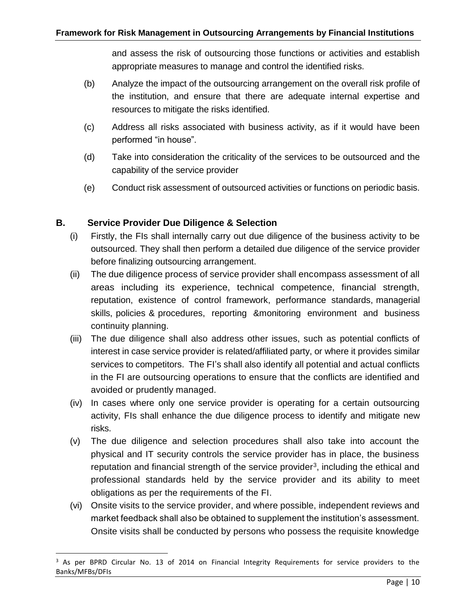and assess the risk of outsourcing those functions or activities and establish appropriate measures to manage and control the identified risks.

- (b) Analyze the impact of the outsourcing arrangement on the overall risk profile of the institution, and ensure that there are adequate internal expertise and resources to mitigate the risks identified.
- (c) Address all risks associated with business activity, as if it would have been performed "in house".
- (d) Take into consideration the criticality of the services to be outsourced and the capability of the service provider
- (e) Conduct risk assessment of outsourced activities or functions on periodic basis.

#### **B. Service Provider Due Diligence & Selection**

 $\overline{\phantom{a}}$ 

- (i) Firstly, the FIs shall internally carry out due diligence of the business activity to be outsourced. They shall then perform a detailed due diligence of the service provider before finalizing outsourcing arrangement.
- (ii) The due diligence process of service provider shall encompass assessment of all areas including its experience, technical competence, financial strength, reputation, existence of control framework, performance standards, managerial skills, policies & procedures, reporting &monitoring environment and business continuity planning.
- (iii) The due diligence shall also address other issues, such as potential conflicts of interest in case service provider is related/affiliated party, or where it provides similar services to competitors. The FI's shall also identify all potential and actual conflicts in the FI are outsourcing operations to ensure that the conflicts are identified and avoided or prudently managed.
- (iv) In cases where only one service provider is operating for a certain outsourcing activity, FIs shall enhance the due diligence process to identify and mitigate new risks.
- (v) The due diligence and selection procedures shall also take into account the physical and IT security controls the service provider has in place, the business reputation and financial strength of the service provider<sup>3</sup>, including the ethical and professional standards held by the service provider and its ability to meet obligations as per the requirements of the FI.
- (vi) Onsite visits to the service provider, and where possible, independent reviews and market feedback shall also be obtained to supplement the institution's assessment. Onsite visits shall be conducted by persons who possess the requisite knowledge

<sup>&</sup>lt;sup>3</sup> As per BPRD Circular No. 13 of 2014 on Financial Integrity Requirements for service providers to the Banks/MFBs/DFIs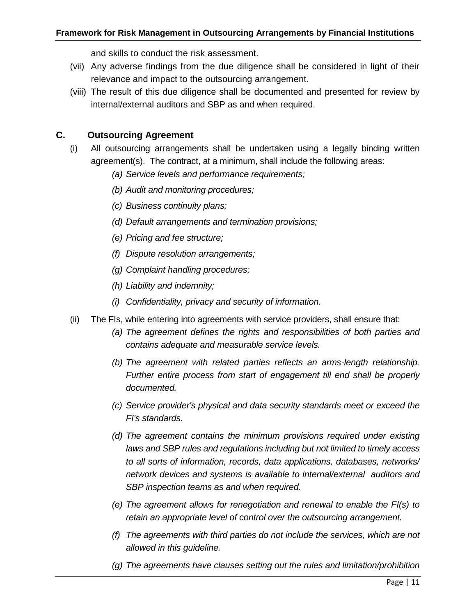and skills to conduct the risk assessment.

- (vii) Any adverse findings from the due diligence shall be considered in light of their relevance and impact to the outsourcing arrangement.
- (viii) The result of this due diligence shall be documented and presented for review by internal/external auditors and SBP as and when required.

#### **C. Outsourcing Agreement**

- (i) All outsourcing arrangements shall be undertaken using a legally binding written agreement(s). The contract, at a minimum, shall include the following areas:
	- *(a) Service levels and performance requirements;*
	- *(b) Audit and monitoring procedures;*
	- *(c) Business continuity plans;*
	- *(d) Default arrangements and termination provisions;*
	- *(e) Pricing and fee structure;*
	- *(f) Dispute resolution arrangements;*
	- *(g) Complaint handling procedures;*
	- *(h) Liability and indemnity;*
	- *(i) Confidentiality, privacy and security of information.*
- (ii) The FIs, while entering into agreements with service providers, shall ensure that:
	- *(a) The agreement defines the rights and responsibilities of both parties and contains adequate and measurable service levels.*
	- *(b) The agreement with related parties reflects an arms-length relationship. Further entire process from start of engagement till end shall be properly documented.*
	- *(c) Service provider's physical and data security standards meet or exceed the FI's standards.*
	- *(d) The agreement contains the minimum provisions required under existing laws and SBP rules and regulations including but not limited to timely access to all sorts of information, records, data applications, databases, networks/ network devices and systems is available to internal/external auditors and SBP inspection teams as and when required.*
	- *(e) The agreement allows for renegotiation and renewal to enable the FI(s) to retain an appropriate level of control over the outsourcing arrangement.*
	- *(f) The agreements with third parties do not include the services, which are not allowed in this guideline.*
	- *(g) The agreements have clauses setting out the rules and limitation/prohibition*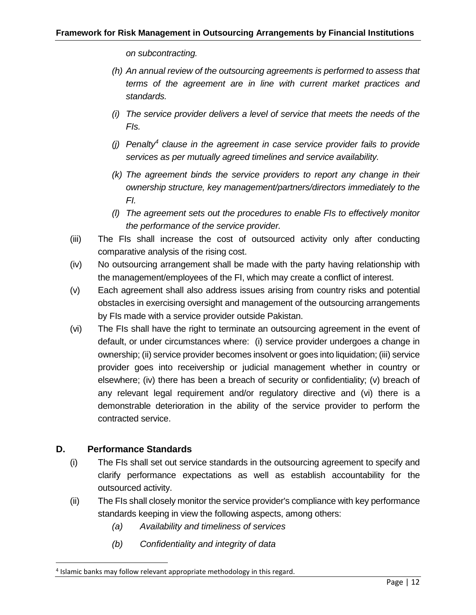*on subcontracting.* 

- *(h) An annual review of the outsourcing agreements is performed to assess that terms of the agreement are in line with current market practices and standards.*
- *(i) The service provider delivers a level of service that meets the needs of the FIs.*
- *(j) Penalty<sup>4</sup> clause in the agreement in case service provider fails to provide services as per mutually agreed timelines and service availability.*
- *(k) The agreement binds the service providers to report any change in their ownership structure, key management/partners/directors immediately to the FI.*
- *(l) The agreement sets out the procedures to enable FIs to effectively monitor the performance of the service provider.*
- (iii) The FIs shall increase the cost of outsourced activity only after conducting comparative analysis of the rising cost.
- (iv) No outsourcing arrangement shall be made with the party having relationship with the management/employees of the FI, which may create a conflict of interest.
- (v) Each agreement shall also address issues arising from country risks and potential obstacles in exercising oversight and management of the outsourcing arrangements by FIs made with a service provider outside Pakistan.
- (vi) The FIs shall have the right to terminate an outsourcing agreement in the event of default, or under circumstances where: (i) service provider undergoes a change in ownership; (ii) service provider becomes insolvent or goes into liquidation; (iii) service provider goes into receivership or judicial management whether in country or elsewhere; (iv) there has been a breach of security or confidentiality; (v) breach of any relevant legal requirement and/or regulatory directive and (vi) there is a demonstrable deterioration in the ability of the service provider to perform the contracted service.

#### **D. Performance Standards**

 $\overline{a}$ 

- (i) The FIs shall set out service standards in the outsourcing agreement to specify and clarify performance expectations as well as establish accountability for the outsourced activity.
- (ii) The FIs shall closely monitor the service provider's compliance with key performance standards keeping in view the following aspects, among others:
	- *(a) Availability and timeliness of services*
	- *(b) Confidentiality and integrity of data*

<sup>&</sup>lt;sup>4</sup> Islamic banks may follow relevant appropriate methodology in this regard.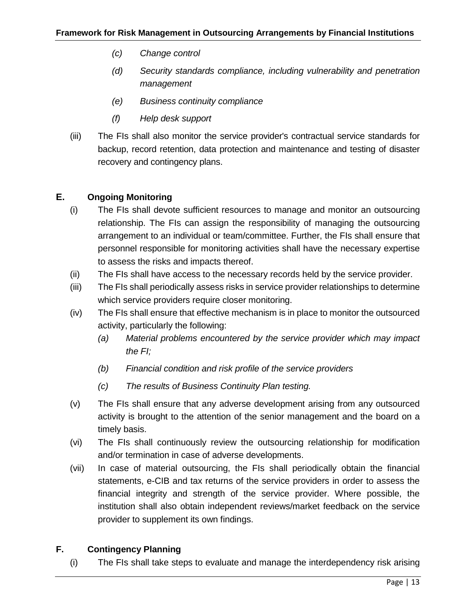- *(c) Change control*
- *(d) Security standards compliance, including vulnerability and penetration management*
- *(e) Business continuity compliance*
- *(f) Help desk support*
- (iii) The FIs shall also monitor the service provider's contractual service standards for backup, record retention, data protection and maintenance and testing of disaster recovery and contingency plans.

#### **E. Ongoing Monitoring**

- (i) The FIs shall devote sufficient resources to manage and monitor an outsourcing relationship. The FIs can assign the responsibility of managing the outsourcing arrangement to an individual or team/committee. Further, the FIs shall ensure that personnel responsible for monitoring activities shall have the necessary expertise to assess the risks and impacts thereof.
- (ii) The FIs shall have access to the necessary records held by the service provider.
- (iii) The FIs shall periodically assess risks in service provider relationships to determine which service providers require closer monitoring.
- (iv) The FIs shall ensure that effective mechanism is in place to monitor the outsourced activity, particularly the following:
	- *(a) Material problems encountered by the service provider which may impact the FI;*
	- *(b) Financial condition and risk profile of the service providers*
	- *(c) The results of Business Continuity Plan testing.*
- (v) The FIs shall ensure that any adverse development arising from any outsourced activity is brought to the attention of the senior management and the board on a timely basis.
- (vi) The FIs shall continuously review the outsourcing relationship for modification and/or termination in case of adverse developments.
- (vii) In case of material outsourcing, the FIs shall periodically obtain the financial statements, e-CIB and tax returns of the service providers in order to assess the financial integrity and strength of the service provider. Where possible, the institution shall also obtain independent reviews/market feedback on the service provider to supplement its own findings.

#### **F. Contingency Planning**

(i) The FIs shall take steps to evaluate and manage the interdependency risk arising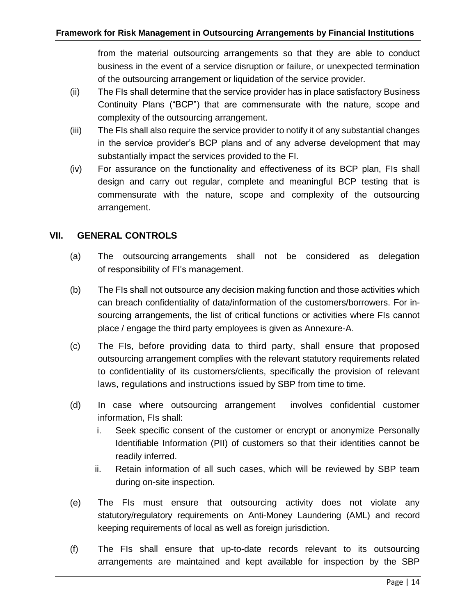from the material outsourcing arrangements so that they are able to conduct business in the event of a service disruption or failure, or unexpected termination of the outsourcing arrangement or liquidation of the service provider.

- (ii) The FIs shall determine that the service provider has in place satisfactory Business Continuity Plans ("BCP") that are commensurate with the nature, scope and complexity of the outsourcing arrangement.
- (iii) The FIs shall also require the service provider to notify it of any substantial changes in the service provider's BCP plans and of any adverse development that may substantially impact the services provided to the FI.
- (iv) For assurance on the functionality and effectiveness of its BCP plan, FIs shall design and carry out regular, complete and meaningful BCP testing that is commensurate with the nature, scope and complexity of the outsourcing arrangement.

#### <span id="page-13-0"></span>**VII. GENERAL CONTROLS**

- (a) The outsourcing arrangements shall not be considered as delegation of responsibility of FI's management.
- (b) The FIs shall not outsource any decision making function and those activities which can breach confidentiality of data/information of the customers/borrowers. For insourcing arrangements, the list of critical functions or activities where FIs cannot place / engage the third party employees is given as Annexure-A.
- (c) The FIs, before providing data to third party, shall ensure that proposed outsourcing arrangement complies with the relevant statutory requirements related to confidentiality of its customers/clients, specifically the provision of relevant laws, regulations and instructions issued by SBP from time to time.
- (d) In case where outsourcing arrangement involves confidential customer information, FIs shall:
	- i. Seek specific consent of the customer or encrypt or anonymize Personally Identifiable Information (PII) of customers so that their identities cannot be readily inferred.
	- ii. Retain information of all such cases, which will be reviewed by SBP team during on-site inspection.
- (e) The FIs must ensure that outsourcing activity does not violate any statutory/regulatory requirements on Anti-Money Laundering (AML) and record keeping requirements of local as well as foreign jurisdiction.
- (f) The FIs shall ensure that up-to-date records relevant to its outsourcing arrangements are maintained and kept available for inspection by the SBP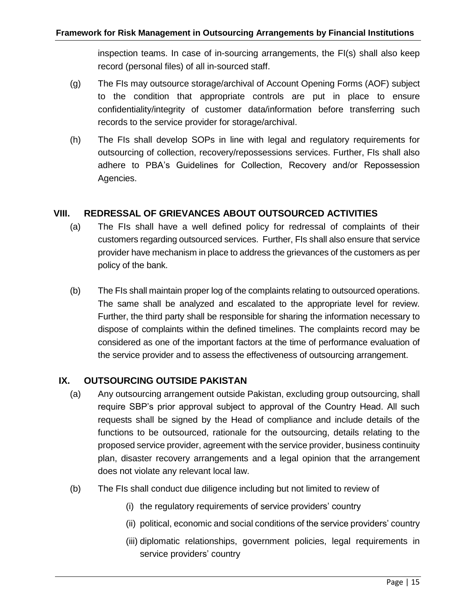inspection teams. In case of in-sourcing arrangements, the FI(s) shall also keep record (personal files) of all in-sourced staff.

- (g) The FIs may outsource storage/archival of Account Opening Forms (AOF) subject to the condition that appropriate controls are put in place to ensure confidentiality/integrity of customer data/information before transferring such records to the service provider for storage/archival.
- (h) The FIs shall develop SOPs in line with legal and regulatory requirements for outsourcing of collection, recovery/repossessions services. Further, FIs shall also adhere to PBA's Guidelines for Collection, Recovery and/or Repossession Agencies.

#### <span id="page-14-0"></span>**VIII. REDRESSAL OF GRIEVANCES ABOUT OUTSOURCED ACTIVITIES**

- (a) The FIs shall have a well defined policy for redressal of complaints of their customers regarding outsourced services. Further, FIs shall also ensure that service provider have mechanism in place to address the grievances of the customers as per policy of the bank.
- (b) The FIs shall maintain proper log of the complaints relating to outsourced operations. The same shall be analyzed and escalated to the appropriate level for review. Further, the third party shall be responsible for sharing the information necessary to dispose of complaints within the defined timelines. The complaints record may be considered as one of the important factors at the time of performance evaluation of the service provider and to assess the effectiveness of outsourcing arrangement.

#### <span id="page-14-1"></span>**IX. OUTSOURCING OUTSIDE PAKISTAN**

- (a) Any outsourcing arrangement outside Pakistan, excluding group outsourcing, shall require SBP's prior approval subject to approval of the Country Head. All such requests shall be signed by the Head of compliance and include details of the functions to be outsourced, rationale for the outsourcing, details relating to the proposed service provider, agreement with the service provider, business continuity plan, disaster recovery arrangements and a legal opinion that the arrangement does not violate any relevant local law.
- (b) The FIs shall conduct due diligence including but not limited to review of
	- (i) the regulatory requirements of service providers' country
	- (ii) political, economic and social conditions of the service providers' country
	- (iii) diplomatic relationships, government policies, legal requirements in service providers' country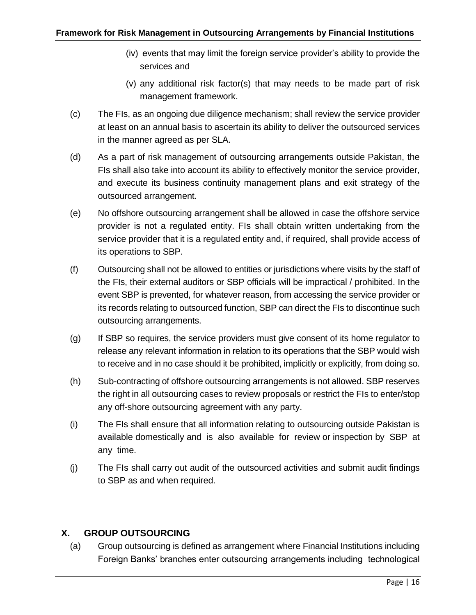- (iv) events that may limit the foreign service provider's ability to provide the services and
- (v) any additional risk factor(s) that may needs to be made part of risk management framework.
- (c) The FIs, as an ongoing due diligence mechanism; shall review the service provider at least on an annual basis to ascertain its ability to deliver the outsourced services in the manner agreed as per SLA.
- (d) As a part of risk management of outsourcing arrangements outside Pakistan, the FIs shall also take into account its ability to effectively monitor the service provider, and execute its business continuity management plans and exit strategy of the outsourced arrangement.
- (e) No offshore outsourcing arrangement shall be allowed in case the offshore service provider is not a regulated entity. FIs shall obtain written undertaking from the service provider that it is a regulated entity and, if required, shall provide access of its operations to SBP.
- (f) Outsourcing shall not be allowed to entities or jurisdictions where visits by the staff of the FIs, their external auditors or SBP officials will be impractical / prohibited. In the event SBP is prevented, for whatever reason, from accessing the service provider or its records relating to outsourced function, SBP can direct the FIs to discontinue such outsourcing arrangements.
- (g) If SBP so requires, the service providers must give consent of its home regulator to release any relevant information in relation to its operations that the SBP would wish to receive and in no case should it be prohibited, implicitly or explicitly, from doing so.
- (h) Sub-contracting of offshore outsourcing arrangements is not allowed. SBP reserves the right in all outsourcing cases to review proposals or restrict the FIs to enter/stop any off-shore outsourcing agreement with any party.
- (i) The FIs shall ensure that all information relating to outsourcing outside Pakistan is available domestically and is also available for review or inspection by SBP at any time.
- (j) The FIs shall carry out audit of the outsourced activities and submit audit findings to SBP as and when required.

#### <span id="page-15-0"></span>**X. GROUP OUTSOURCING**

(a) Group outsourcing is defined as arrangement where Financial Institutions including Foreign Banks' branches enter outsourcing arrangements including technological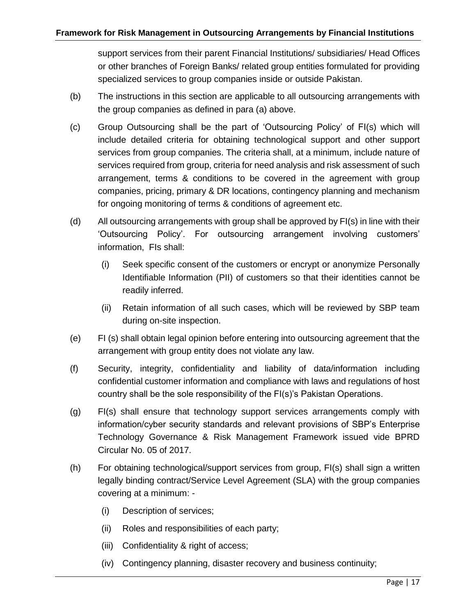support services from their parent Financial Institutions/ subsidiaries/ Head Offices or other branches of Foreign Banks/ related group entities formulated for providing specialized services to group companies inside or outside Pakistan.

- (b) The instructions in this section are applicable to all outsourcing arrangements with the group companies as defined in para (a) above.
- (c) Group Outsourcing shall be the part of 'Outsourcing Policy' of FI(s) which will include detailed criteria for obtaining technological support and other support services from group companies. The criteria shall, at a minimum, include nature of services required from group, criteria for need analysis and risk assessment of such arrangement, terms & conditions to be covered in the agreement with group companies, pricing, primary & DR locations, contingency planning and mechanism for ongoing monitoring of terms & conditions of agreement etc.
- (d) All outsourcing arrangements with group shall be approved by FI(s) in line with their 'Outsourcing Policy'. For outsourcing arrangement involving customers' information, FIs shall:
	- (i) Seek specific consent of the customers or encrypt or anonymize Personally Identifiable Information (PII) of customers so that their identities cannot be readily inferred.
	- (ii) Retain information of all such cases, which will be reviewed by SBP team during on-site inspection.
- (e) FI (s) shall obtain legal opinion before entering into outsourcing agreement that the arrangement with group entity does not violate any law.
- (f) Security, integrity, confidentiality and liability of data/information including confidential customer information and compliance with laws and regulations of host country shall be the sole responsibility of the FI(s)'s Pakistan Operations.
- (g) FI(s) shall ensure that technology support services arrangements comply with information/cyber security standards and relevant provisions of SBP's Enterprise Technology Governance & Risk Management Framework issued vide BPRD Circular No. 05 of 2017.
- (h) For obtaining technological/support services from group, FI(s) shall sign a written legally binding contract/Service Level Agreement (SLA) with the group companies covering at a minimum: -
	- (i) Description of services;
	- (ii) Roles and responsibilities of each party;
	- (iii) Confidentiality & right of access;
	- (iv) Contingency planning, disaster recovery and business continuity;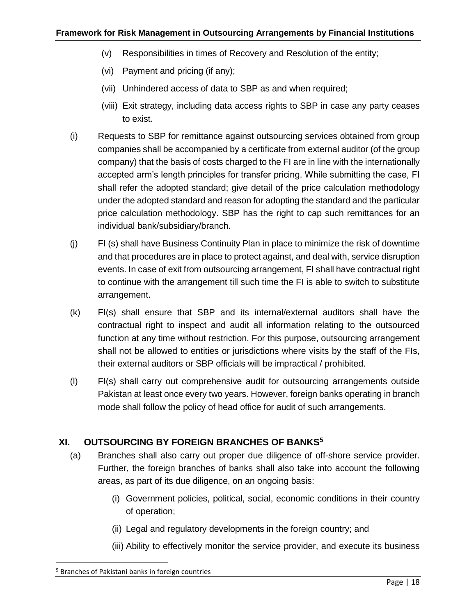- (v) Responsibilities in times of Recovery and Resolution of the entity;
- (vi) Payment and pricing (if any);
- (vii) Unhindered access of data to SBP as and when required;
- (viii) Exit strategy, including data access rights to SBP in case any party ceases to exist.
- (i) Requests to SBP for remittance against outsourcing services obtained from group companies shall be accompanied by a certificate from external auditor (of the group company) that the basis of costs charged to the FI are in line with the internationally accepted arm's length principles for transfer pricing. While submitting the case, FI shall refer the adopted standard; give detail of the price calculation methodology under the adopted standard and reason for adopting the standard and the particular price calculation methodology. SBP has the right to cap such remittances for an individual bank/subsidiary/branch.
- (j) FI (s) shall have Business Continuity Plan in place to minimize the risk of downtime and that procedures are in place to protect against, and deal with, service disruption events. In case of exit from outsourcing arrangement, FI shall have contractual right to continue with the arrangement till such time the FI is able to switch to substitute arrangement.
- (k) FI(s) shall ensure that SBP and its internal/external auditors shall have the contractual right to inspect and audit all information relating to the outsourced function at any time without restriction. For this purpose, outsourcing arrangement shall not be allowed to entities or jurisdictions where visits by the staff of the FIs, their external auditors or SBP officials will be impractical / prohibited.
- (l) FI(s) shall carry out comprehensive audit for outsourcing arrangements outside Pakistan at least once every two years. However, foreign banks operating in branch mode shall follow the policy of head office for audit of such arrangements.

#### <span id="page-17-0"></span>**XI. OUTSOURCING BY FOREIGN BRANCHES OF BANKS<sup>5</sup>**

- (a) Branches shall also carry out proper due diligence of off-shore service provider. Further, the foreign branches of banks shall also take into account the following areas, as part of its due diligence, on an ongoing basis:
	- (i) Government policies, political, social, economic conditions in their country of operation;
	- (ii) Legal and regulatory developments in the foreign country; and
	- (iii) Ability to effectively monitor the service provider, and execute its business

 $\overline{a}$ 

<sup>5</sup> Branches of Pakistani banks in foreign countries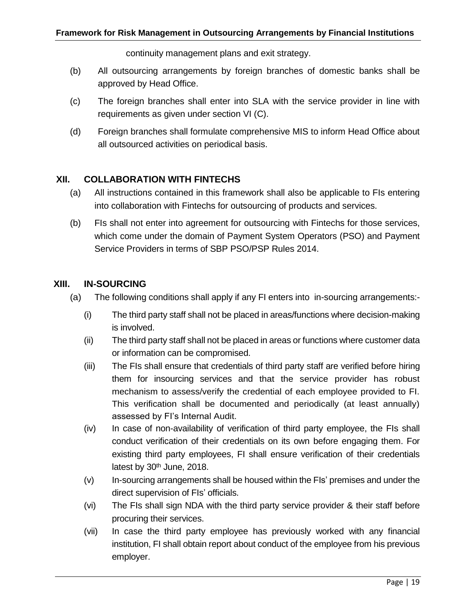continuity management plans and exit strategy.

- (b) All outsourcing arrangements by foreign branches of domestic banks shall be approved by Head Office.
- (c) The foreign branches shall enter into SLA with the service provider in line with requirements as given under section VI (C).
- (d) Foreign branches shall formulate comprehensive MIS to inform Head Office about all outsourced activities on periodical basis.

#### <span id="page-18-0"></span>**XII. COLLABORATION WITH FINTECHS**

- (a) All instructions contained in this framework shall also be applicable to FIs entering into collaboration with Fintechs for outsourcing of products and services.
- (b) FIs shall not enter into agreement for outsourcing with Fintechs for those services, which come under the domain of Payment System Operators (PSO) and Payment Service Providers in terms of SBP PSO/PSP Rules 2014.

#### <span id="page-18-1"></span>**XIII. IN-SOURCING**

- (a) The following conditions shall apply if any FI enters into in-sourcing arrangements:-
	- (i) The third party staff shall not be placed in areas/functions where decision-making is involved.
	- (ii) The third party staff shall not be placed in areas or functions where customer data or information can be compromised.
	- (iii) The FIs shall ensure that credentials of third party staff are verified before hiring them for insourcing services and that the service provider has robust mechanism to assess/verify the credential of each employee provided to FI. This verification shall be documented and periodically (at least annually) assessed by FI's Internal Audit.
	- (iv) In case of non-availability of verification of third party employee, the FIs shall conduct verification of their credentials on its own before engaging them. For existing third party employees, FI shall ensure verification of their credentials latest by 30<sup>th</sup> June, 2018.
	- (v) In-sourcing arrangements shall be housed within the FIs' premises and under the direct supervision of FIs' officials.
	- (vi) The FIs shall sign NDA with the third party service provider & their staff before procuring their services.
	- (vii) In case the third party employee has previously worked with any financial institution, FI shall obtain report about conduct of the employee from his previous employer.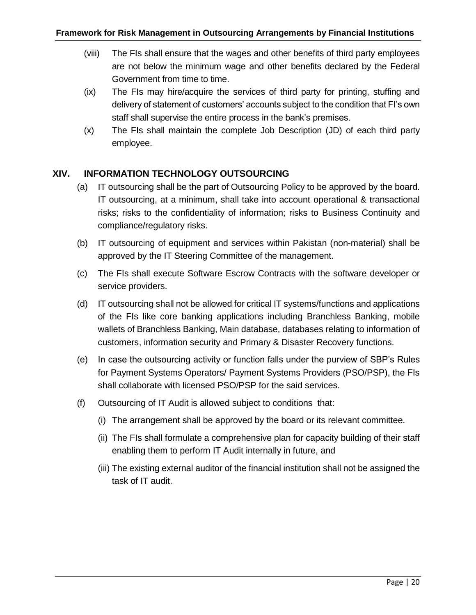- (viii) The FIs shall ensure that the wages and other benefits of third party employees are not below the minimum wage and other benefits declared by the Federal Government from time to time.
- (ix) The FIs may hire/acquire the services of third party for printing, stuffing and delivery of statement of customers' accounts subject to the condition that FI's own staff shall supervise the entire process in the bank's premises.
- (x) The FIs shall maintain the complete Job Description (JD) of each third party employee.

#### <span id="page-19-0"></span>**XIV. INFORMATION TECHNOLOGY OUTSOURCING**

- (a) IT outsourcing shall be the part of Outsourcing Policy to be approved by the board. IT outsourcing, at a minimum, shall take into account operational & transactional risks; risks to the confidentiality of information; risks to Business Continuity and compliance/regulatory risks.
- (b) IT outsourcing of equipment and services within Pakistan (non-material) shall be approved by the IT Steering Committee of the management.
- (c) The FIs shall execute Software Escrow Contracts with the software developer or service providers.
- (d) IT outsourcing shall not be allowed for critical IT systems/functions and applications of the FIs like core banking applications including Branchless Banking, mobile wallets of Branchless Banking, Main database, databases relating to information of customers, information security and Primary & Disaster Recovery functions.
- (e) In case the outsourcing activity or function falls under the purview of SBP's Rules for Payment Systems Operators/ Payment Systems Providers (PSO/PSP), the FIs shall collaborate with licensed PSO/PSP for the said services.
- (f) Outsourcing of IT Audit is allowed subject to conditions that:
	- (i) The arrangement shall be approved by the board or its relevant committee.
	- (ii) The FIs shall formulate a comprehensive plan for capacity building of their staff enabling them to perform IT Audit internally in future, and
	- (iii) The existing external auditor of the financial institution shall not be assigned the task of IT audit.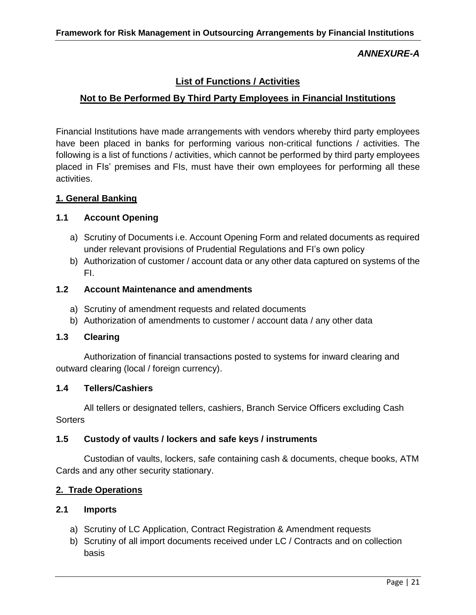#### *ANNEXURE-A*

#### **List of Functions / Activities**

#### <span id="page-20-0"></span>**Not to Be Performed By Third Party Employees in Financial Institutions**

Financial Institutions have made arrangements with vendors whereby third party employees have been placed in banks for performing various non-critical functions / activities. The following is a list of functions / activities, which cannot be performed by third party employees placed in FIs' premises and FIs, must have their own employees for performing all these activities.

#### **1. General Banking**

#### **1.1 Account Opening**

- a) Scrutiny of Documents i.e. Account Opening Form and related documents as required under relevant provisions of Prudential Regulations and FI's own policy
- b) Authorization of customer / account data or any other data captured on systems of the FI.

#### **1.2 Account Maintenance and amendments**

- a) Scrutiny of amendment requests and related documents
- b) Authorization of amendments to customer / account data / any other data

#### **1.3 Clearing**

Authorization of financial transactions posted to systems for inward clearing and outward clearing (local / foreign currency).

#### **1.4 Tellers/Cashiers**

All tellers or designated tellers, cashiers, Branch Service Officers excluding Cash **Sorters** 

#### **1.5 Custody of vaults / lockers and safe keys / instruments**

Custodian of vaults, lockers, safe containing cash & documents, cheque books, ATM Cards and any other security stationary.

#### **2. Trade Operations**

#### **2.1 Imports**

- a) Scrutiny of LC Application, Contract Registration & Amendment requests
- b) Scrutiny of all import documents received under LC / Contracts and on collection basis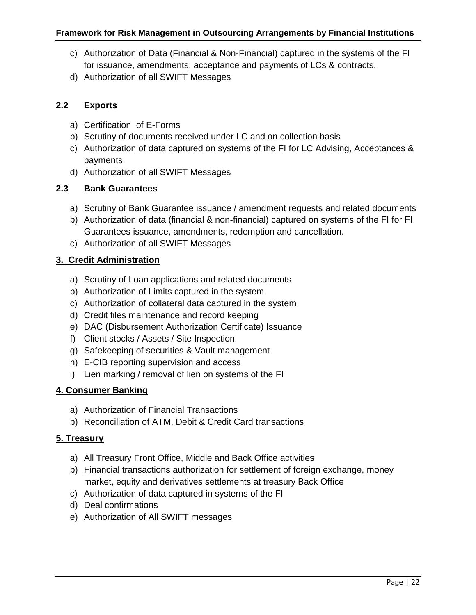- c) Authorization of Data (Financial & Non-Financial) captured in the systems of the FI for issuance, amendments, acceptance and payments of LCs & contracts.
- d) Authorization of all SWIFT Messages

#### **2.2 Exports**

- a) Certification of E-Forms
- b) Scrutiny of documents received under LC and on collection basis
- c) Authorization of data captured on systems of the FI for LC Advising, Acceptances & payments.
- d) Authorization of all SWIFT Messages

#### **2.3 Bank Guarantees**

- a) Scrutiny of Bank Guarantee issuance / amendment requests and related documents
- b) Authorization of data (financial & non-financial) captured on systems of the FI for FI Guarantees issuance, amendments, redemption and cancellation.
- c) Authorization of all SWIFT Messages

#### **3. Credit Administration**

- a) Scrutiny of Loan applications and related documents
- b) Authorization of Limits captured in the system
- c) Authorization of collateral data captured in the system
- d) Credit files maintenance and record keeping
- e) DAC (Disbursement Authorization Certificate) Issuance
- f) Client stocks / Assets / Site Inspection
- g) Safekeeping of securities & Vault management
- h) E-CIB reporting supervision and access
- i) Lien marking / removal of lien on systems of the FI

#### **4. Consumer Banking**

- a) Authorization of Financial Transactions
- b) Reconciliation of ATM, Debit & Credit Card transactions

#### **5. Treasury**

- a) All Treasury Front Office, Middle and Back Office activities
- b) Financial transactions authorization for settlement of foreign exchange, money market, equity and derivatives settlements at treasury Back Office
- c) Authorization of data captured in systems of the FI
- d) Deal confirmations
- e) Authorization of All SWIFT messages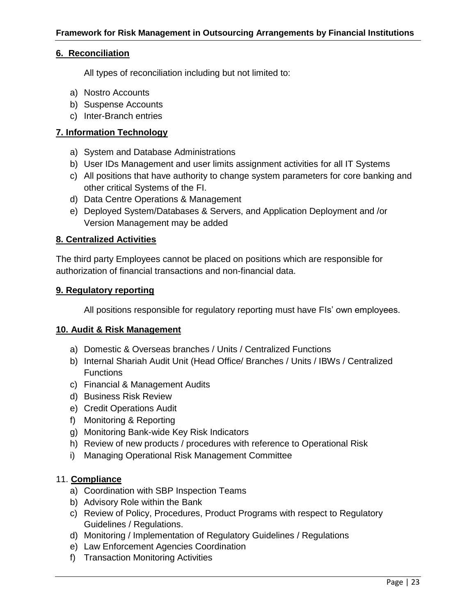#### **6. Reconciliation**

All types of reconciliation including but not limited to:

- a) Nostro Accounts
- b) Suspense Accounts
- c) Inter-Branch entries

#### **7. Information Technology**

- a) System and Database Administrations
- b) User IDs Management and user limits assignment activities for all IT Systems
- c) All positions that have authority to change system parameters for core banking and other critical Systems of the FI.
- d) Data Centre Operations & Management
- e) Deployed System/Databases & Servers, and Application Deployment and /or Version Management may be added

#### **8. Centralized Activities**

The third party Employees cannot be placed on positions which are responsible for authorization of financial transactions and non-financial data.

#### **9. Regulatory reporting**

All positions responsible for regulatory reporting must have FIs' own employees.

#### **10. Audit & Risk Management**

- a) Domestic & Overseas branches / Units / Centralized Functions
- b) Internal Shariah Audit Unit (Head Office/ Branches / Units / IBWs / Centralized **Functions**
- c) Financial & Management Audits
- d) Business Risk Review
- e) Credit Operations Audit
- f) Monitoring & Reporting
- g) Monitoring Bank-wide Key Risk Indicators
- h) Review of new products / procedures with reference to Operational Risk
- i) Managing Operational Risk Management Committee

#### 11. **Compliance**

- a) Coordination with SBP Inspection Teams
- b) Advisory Role within the Bank
- c) Review of Policy, Procedures, Product Programs with respect to Regulatory Guidelines / Regulations.
- d) Monitoring / Implementation of Regulatory Guidelines / Regulations
- e) Law Enforcement Agencies Coordination
- f) Transaction Monitoring Activities